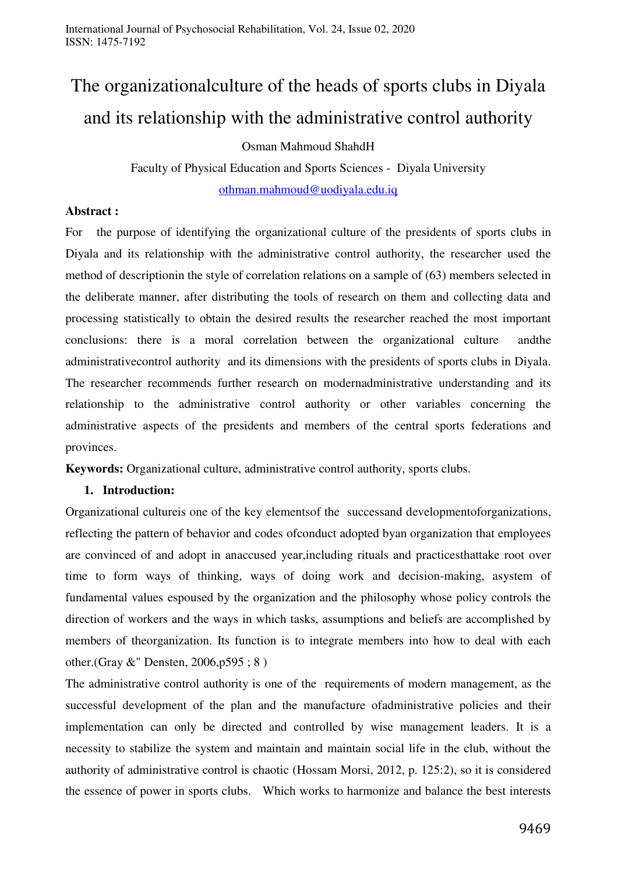# The organizationalculture of the heads of sports clubs in Diyala and its relationship with the administrative control authority

Osman Mahmoud ShahdH

Faculty of Physical Education and Sports Sciences - Diyala University [othman.mahmoud@uodiyala.edu.iq](mailto:othman.mahmoud@uodiyala.edu.iq)

#### **Abstract :**

For the purpose of identifying the organizational culture of the presidents of sports clubs in Diyala and its relationship with the administrative control authority, the researcher used the method of descriptionin the style of correlation relations on a sample of (63) members selected in the deliberate manner, after distributing the tools of research on them and collecting data and processing statistically to obtain the desired results the researcher reached the most important conclusions: there is a moral correlation between the organizational culture andthe administrativecontrol authority and its dimensions with the presidents of sports clubs in Diyala. The researcher recommends further research on modernadministrative understanding and its relationship to the administrative control authority or other variables concerning the administrative aspects of the presidents and members of the central sports federations and provinces.

**Keywords:** Organizational culture, administrative control authority, sports clubs.

# **1. Introduction:**

Organizational cultureis one of the key elementsof the successand developmentoforganizations, reflecting the pattern of behavior and codes ofconduct adopted byan organization that employees are convinced of and adopt in anaccused year,including rituals and practicesthattake root over time to form ways of thinking, ways of doing work and decision-making, asystem of fundamental values espoused by the organization and the philosophy whose policy controls the direction of workers and the ways in which tasks, assumptions and beliefs are accomplished by members of theorganization. Its function is to integrate members into how to deal with each other.(Gray &" Densten, 2006,p595 ; 8 )

The administrative control authority is one of the requirements of modern management, as the successful development of the plan and the manufacture ofadministrative policies and their implementation can only be directed and controlled by wise management leaders. It is a necessity to stabilize the system and maintain and maintain social life in the club, without the authority of administrative control is chaotic (Hossam Morsi, 2012, p. 125:2), so it is considered the essence of power in sports clubs. Which works to harmonize and balance the best interests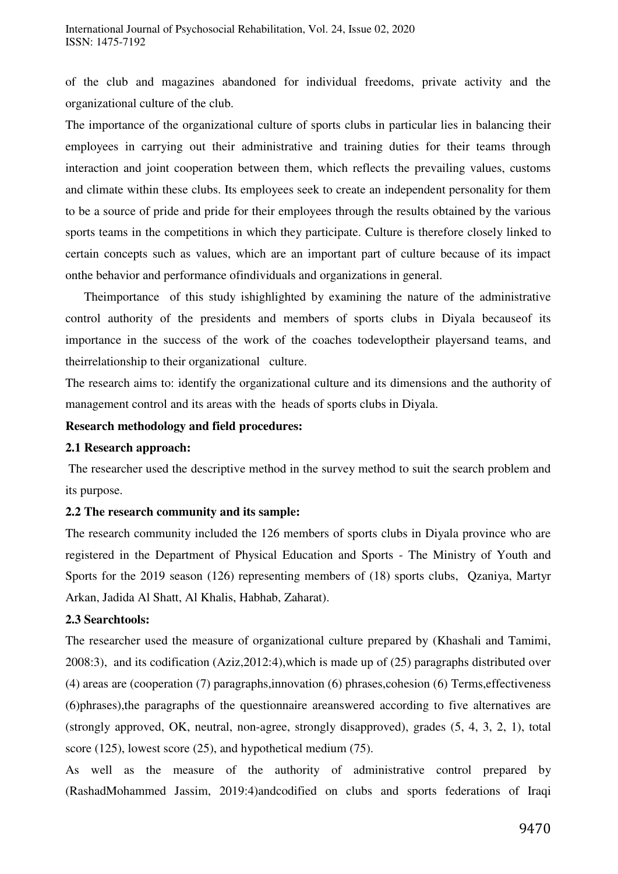of the club and magazines abandoned for individual freedoms, private activity and the organizational culture of the club.

The importance of the organizational culture of sports clubs in particular lies in balancing their employees in carrying out their administrative and training duties for their teams through interaction and joint cooperation between them, which reflects the prevailing values, customs and climate within these clubs. Its employees seek to create an independent personality for them to be a source of pride and pride for their employees through the results obtained by the various sports teams in the competitions in which they participate. Culture is therefore closely linked to certain concepts such as values, which are an important part of culture because of its impact onthe behavior and performance ofindividuals and organizations in general.

 Theimportance of this study ishighlighted by examining the nature of the administrative control authority of the presidents and members of sports clubs in Diyala becauseof its importance in the success of the work of the coaches todeveloptheir playersand teams, and theirrelationship to their organizational culture.

The research aims to: identify the organizational culture and its dimensions and the authority of management control and its areas with the heads of sports clubs in Diyala.

#### **Research methodology and field procedures:**

#### **2.1 Research approach:**

 The researcher used the descriptive method in the survey method to suit the search problem and its purpose.

# **2.2 The research community and its sample:**

The research community included the 126 members of sports clubs in Diyala province who are registered in the Department of Physical Education and Sports - The Ministry of Youth and Sports for the 2019 season (126) representing members of (18) sports clubs, Qzaniya, Martyr Arkan, Jadida Al Shatt, Al Khalis, Habhab, Zaharat).

#### **2.3 Searchtools:**

The researcher used the measure of organizational culture prepared by (Khashali and Tamimi, 2008:3), and its codification (Aziz,2012:4),which is made up of (25) paragraphs distributed over (4) areas are (cooperation (7) paragraphs,innovation (6) phrases,cohesion (6) Terms,effectiveness (6)phrases),the paragraphs of the questionnaire areanswered according to five alternatives are (strongly approved, OK, neutral, non-agree, strongly disapproved), grades (5, 4, 3, 2, 1), total score (125), lowest score (25), and hypothetical medium (75).

As well as the measure of the authority of administrative control prepared by (RashadMohammed Jassim, 2019:4)andcodified on clubs and sports federations of Iraqi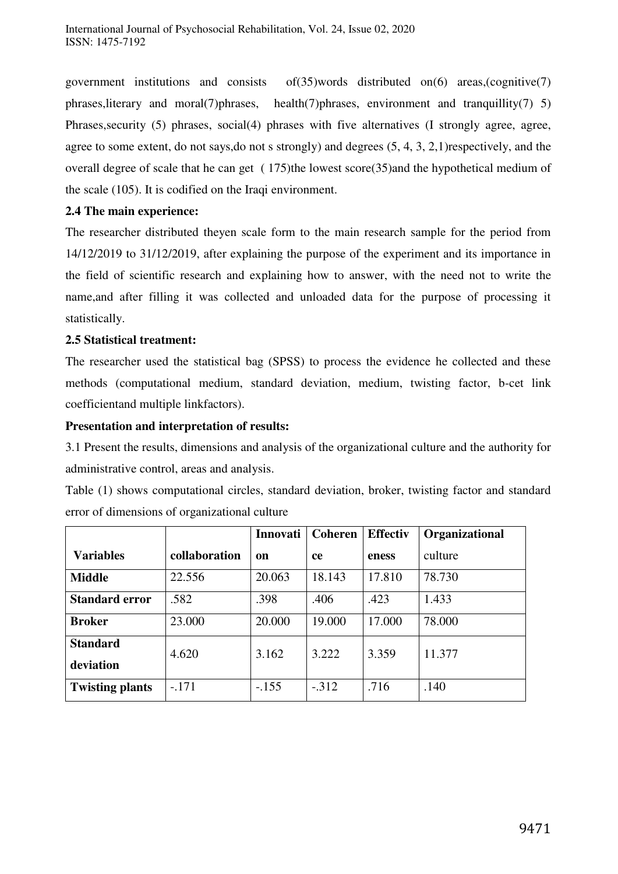government institutions and consists of(35)words distributed on(6) areas,(cognitive(7) phrases,literary and moral(7)phrases, health(7)phrases, environment and tranquillity(7) 5) Phrases,security (5) phrases, social(4) phrases with five alternatives (I strongly agree, agree, agree to some extent, do not says,do not s strongly) and degrees (5, 4, 3, 2,1)respectively, and the overall degree of scale that he can get ( 175)the lowest score(35)and the hypothetical medium of the scale (105). It is codified on the Iraqi environment.

# **2.4 The main experience:**

The researcher distributed theyen scale form to the main research sample for the period from 14/12/2019 to 31/12/2019, after explaining the purpose of the experiment and its importance in the field of scientific research and explaining how to answer, with the need not to write the name,and after filling it was collected and unloaded data for the purpose of processing it statistically.

#### **2.5 Statistical treatment:**

The researcher used the statistical bag (SPSS) to process the evidence he collected and these methods (computational medium, standard deviation, medium, twisting factor, b-cet link coefficientand multiple linkfactors).

# **Presentation and interpretation of results:**

3.1 Present the results, dimensions and analysis of the organizational culture and the authority for administrative control, areas and analysis.

Table (1) shows computational circles, standard deviation, broker, twisting factor and standard error of dimensions of organizational culture

|                        |               | Innovati | <b>Coheren</b> | <b>Effectiv</b> | Organizational |
|------------------------|---------------|----------|----------------|-----------------|----------------|
| <b>Variables</b>       | collaboration | on       | <b>ce</b>      | eness           | culture        |
| <b>Middle</b>          | 22.556        | 20.063   | 18.143         | 17.810          | 78.730         |
| <b>Standard error</b>  | .582          | .398     | .406           | .423            | 1.433          |
| <b>Broker</b>          | 23.000        | 20.000   | 19.000         | 17.000          | 78.000         |
| <b>Standard</b>        | 4.620         | 3.162    | 3.222          | 3.359           | 11.377         |
| deviation              |               |          |                |                 |                |
| <b>Twisting plants</b> | $-.171$       | $-.155$  | $-.312$        | .716            | .140           |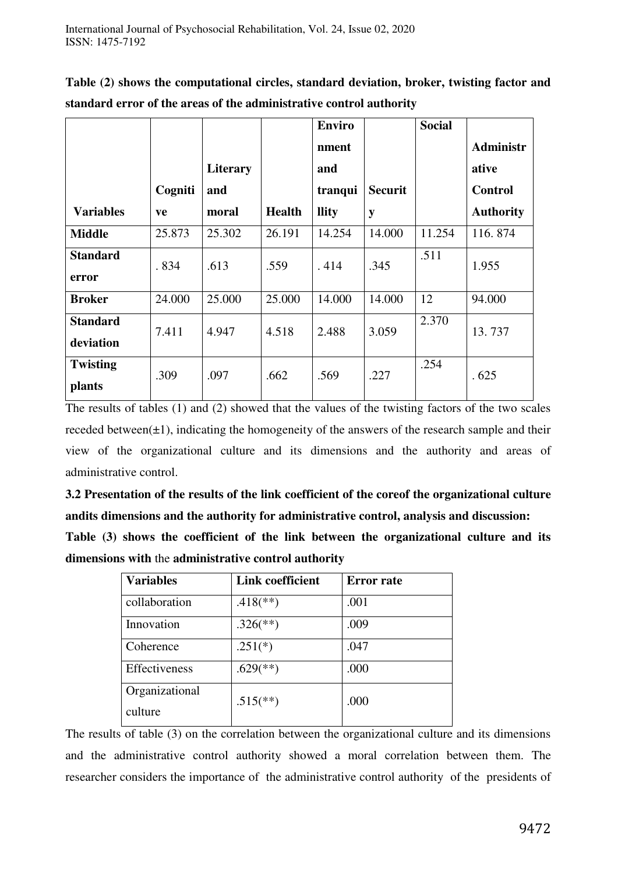**Table (2) shows the computational circles, standard deviation, broker, twisting factor and standard error of the areas of the administrative control authority** 

|                              |         |                 |               | <b>Enviro</b> |                | <b>Social</b> |                  |
|------------------------------|---------|-----------------|---------------|---------------|----------------|---------------|------------------|
|                              |         |                 |               | nment         |                |               | <b>Administr</b> |
|                              |         | <b>Literary</b> |               | and           |                |               | ative            |
|                              | Cogniti | and             |               | tranqui       | <b>Securit</b> |               | <b>Control</b>   |
| <b>Variables</b>             | ve      | moral           | <b>Health</b> | <b>llity</b>  | y              |               | <b>Authority</b> |
| <b>Middle</b>                | 25.873  | 25.302          | 26.191        | 14.254        | 14.000         | 11.254        | 116.874          |
| <b>Standard</b><br>error     | .834    | .613            | .559          | .414          | .345           | .511          | 1.955            |
| <b>Broker</b>                | 24.000  | 25.000          | 25.000        | 14.000        | 14.000         | 12            | 94.000           |
| <b>Standard</b><br>deviation | 7.411   | 4.947           | 4.518         | 2.488         | 3.059          | 2.370         | 13.737           |
| <b>Twisting</b><br>plants    | .309    | .097            | .662          | .569          | .227           | .254          | .625             |

The results of tables (1) and (2) showed that the values of the twisting factors of the two scales receded between( $\pm 1$ ), indicating the homogeneity of the answers of the research sample and their view of the organizational culture and its dimensions and the authority and areas of administrative control.

**3.2 Presentation of the results of the link coefficient of the coreof the organizational culture andits dimensions and the authority for administrative control, analysis and discussion: Table (3) shows the coefficient of the link between the organizational culture and its dimensions with** the **administrative control authority** 

| <b>Variables</b> | <b>Link coefficient</b>  | <b>Error</b> rate |
|------------------|--------------------------|-------------------|
| collaboration    | $.418$ <sup>**</sup> )   | .001              |
| Innovation       | $.326$ <sup>(**)</sup> ) | .009              |
| Coherence        | $.251(*)$                | .047              |
| Effectiveness    | $.629$ <sup>(**)</sup> ) | .000              |
| Organizational   | $.515$ <sup>(**)</sup> ) | .000              |
| culture          |                          |                   |

The results of table (3) on the correlation between the organizational culture and its dimensions and the administrative control authority showed a moral correlation between them. The researcher considers the importance of the administrative control authority of the presidents of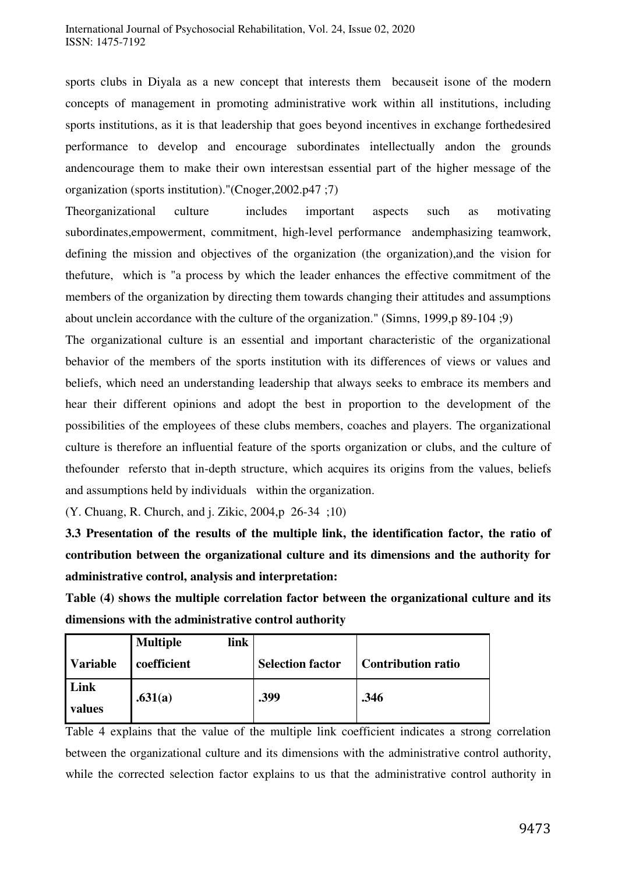sports clubs in Diyala as a new concept that interests them becauseit isone of the modern concepts of management in promoting administrative work within all institutions, including sports institutions, as it is that leadership that goes beyond incentives in exchange forthedesired performance to develop and encourage subordinates intellectually andon the grounds andencourage them to make their own interestsan essential part of the higher message of the organization (sports institution)."(Cnoger,2002.p47 ;7)

Theorganizational culture includes important aspects such as motivating subordinates,empowerment, commitment, high-level performance andemphasizing teamwork, defining the mission and objectives of the organization (the organization),and the vision for thefuture, which is "a process by which the leader enhances the effective commitment of the members of the organization by directing them towards changing their attitudes and assumptions about unclein accordance with the culture of the organization." (Simns, 1999,p 89-104 ;9)

The organizational culture is an essential and important characteristic of the organizational behavior of the members of the sports institution with its differences of views or values and beliefs, which need an understanding leadership that always seeks to embrace its members and hear their different opinions and adopt the best in proportion to the development of the possibilities of the employees of these clubs members, coaches and players. The organizational culture is therefore an influential feature of the sports organization or clubs, and the culture of thefounder refersto that in-depth structure, which acquires its origins from the values, beliefs and assumptions held by individuals within the organization.

(Y. Chuang, R. Church, and j. Zikic, 2004,p 26-34 ;10)

**3.3 Presentation of the results of the multiple link, the identification factor, the ratio of contribution between the organizational culture and its dimensions and the authority for administrative control, analysis and interpretation:**

**Table (4) shows the multiple correlation factor between the organizational culture and its dimensions with the administrative control authority** 

|                 | link<br><b>Multiple</b> |                         |                           |
|-----------------|-------------------------|-------------------------|---------------------------|
| <b>Variable</b> | coefficient             | <b>Selection factor</b> | <b>Contribution ratio</b> |
| Link<br>values  | .631(a)                 | .399                    | .346                      |

Table 4 explains that the value of the multiple link coefficient indicates a strong correlation between the organizational culture and its dimensions with the administrative control authority, while the corrected selection factor explains to us that the administrative control authority in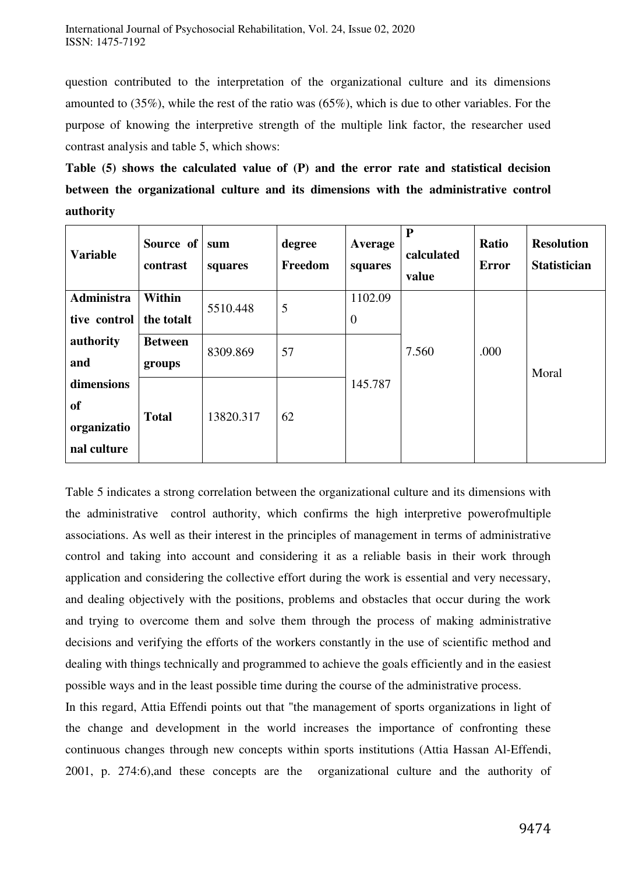question contributed to the interpretation of the organizational culture and its dimensions amounted to (35%), while the rest of the ratio was (65%), which is due to other variables. For the purpose of knowing the interpretive strength of the multiple link factor, the researcher used contrast analysis and table 5, which shows:

**Table (5) shows the calculated value of (P) and the error rate and statistical decision between the organizational culture and its dimensions with the administrative control authority** 

| <b>Variable</b>   | Source of<br>contrast | sum<br>squares | degree<br>Freedom | Average<br>squares | ${\bf P}$<br>calculated<br>value | <b>Ratio</b><br><b>Error</b> | <b>Resolution</b><br><b>Statistician</b> |
|-------------------|-----------------------|----------------|-------------------|--------------------|----------------------------------|------------------------------|------------------------------------------|
| <b>Administra</b> | Within                | 5510.448       | 5                 | 1102.09            |                                  |                              |                                          |
| tive control      | the totalt            |                |                   | $\overline{0}$     |                                  | .000                         |                                          |
| authority         | <b>Between</b>        | 8309.869       | 57                |                    | 7.560                            |                              |                                          |
| and               | groups                |                |                   |                    |                                  |                              | Moral                                    |
| dimensions        |                       |                |                   | 145.787            |                                  |                              |                                          |
| <b>of</b>         | <b>Total</b>          | 13820.317      | 62                |                    |                                  |                              |                                          |
| organizatio       |                       |                |                   |                    |                                  |                              |                                          |
| nal culture       |                       |                |                   |                    |                                  |                              |                                          |

Table 5 indicates a strong correlation between the organizational culture and its dimensions with the administrative control authority, which confirms the high interpretive powerofmultiple associations. As well as their interest in the principles of management in terms of administrative control and taking into account and considering it as a reliable basis in their work through application and considering the collective effort during the work is essential and very necessary, and dealing objectively with the positions, problems and obstacles that occur during the work and trying to overcome them and solve them through the process of making administrative decisions and verifying the efforts of the workers constantly in the use of scientific method and dealing with things technically and programmed to achieve the goals efficiently and in the easiest possible ways and in the least possible time during the course of the administrative process.

In this regard, Attia Effendi points out that "the management of sports organizations in light of the change and development in the world increases the importance of confronting these continuous changes through new concepts within sports institutions (Attia Hassan Al-Effendi, 2001, p. 274:6),and these concepts are the organizational culture and the authority of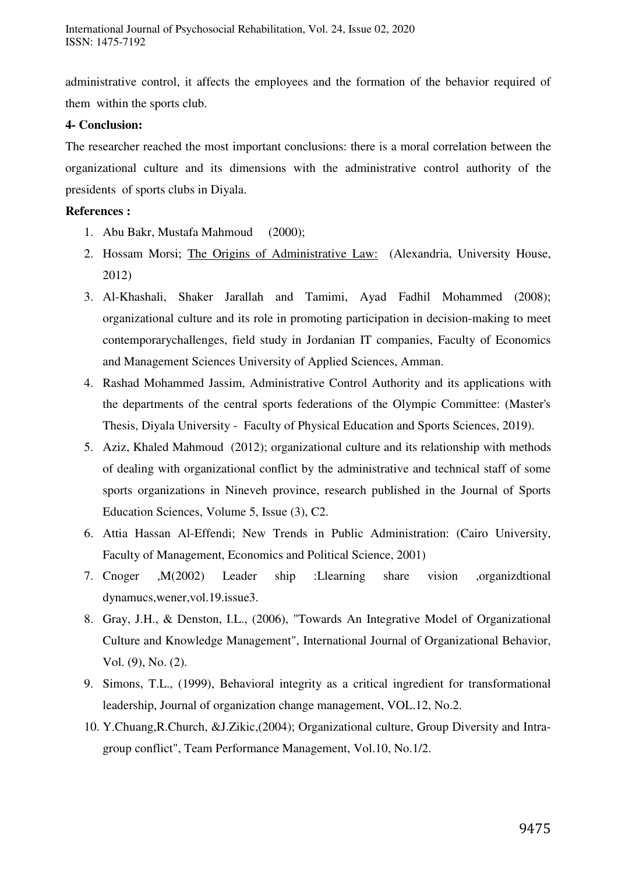administrative control, it affects the employees and the formation of the behavior required of them within the sports club.

### **4- Conclusion:**

The researcher reached the most important conclusions: there is a moral correlation between the organizational culture and its dimensions with the administrative control authority of the presidents of sports clubs in Diyala.

# **References :**

- 1. Abu Bakr, Mustafa Mahmoud (2000);
- 2. Hossam Morsi; The Origins of Administrative Law: (Alexandria, University House, 2012)
- 3. Al-Khashali, Shaker Jarallah and Tamimi, Ayad Fadhil Mohammed (2008); organizational culture and its role in promoting participation in decision-making to meet contemporarychallenges, field study in Jordanian IT companies, Faculty of Economics and Management Sciences University of Applied Sciences, Amman.
- 4. Rashad Mohammed Jassim, Administrative Control Authority and its applications with the departments of the central sports federations of the Olympic Committee: (Master's Thesis, Diyala University - Faculty of Physical Education and Sports Sciences, 2019).
- 5. Aziz, Khaled Mahmoud (2012); organizational culture and its relationship with methods of dealing with organizational conflict by the administrative and technical staff of some sports organizations in Nineveh province, research published in the Journal of Sports Education Sciences, Volume 5, Issue (3), C2.
- 6. Attia Hassan Al-Effendi; New Trends in Public Administration: (Cairo University, Faculty of Management, Economics and Political Science, 2001)
- 7. Cnoger ,M(2002) Leader ship :Llearning share vision ,organizdtional dynamucs,wener,vol.19.issue3.
- 8. Gray, J.H., & Denston, I.L., (2006), "Towards An Integrative Model of Organizational Culture and Knowledge Management", International Journal of Organizational Behavior, Vol. (9), No. (2).
- 9. Simons, T.L., (1999), Behavioral integrity as a critical ingredient for transformational leadership, Journal of organization change management, VOL.12, No.2.
- 10. Y.Chuang,R.Church, &J.Zikic,(2004); Organizational culture, Group Diversity and Intragroup conflict", Team Performance Management, Vol.10, No.1/2.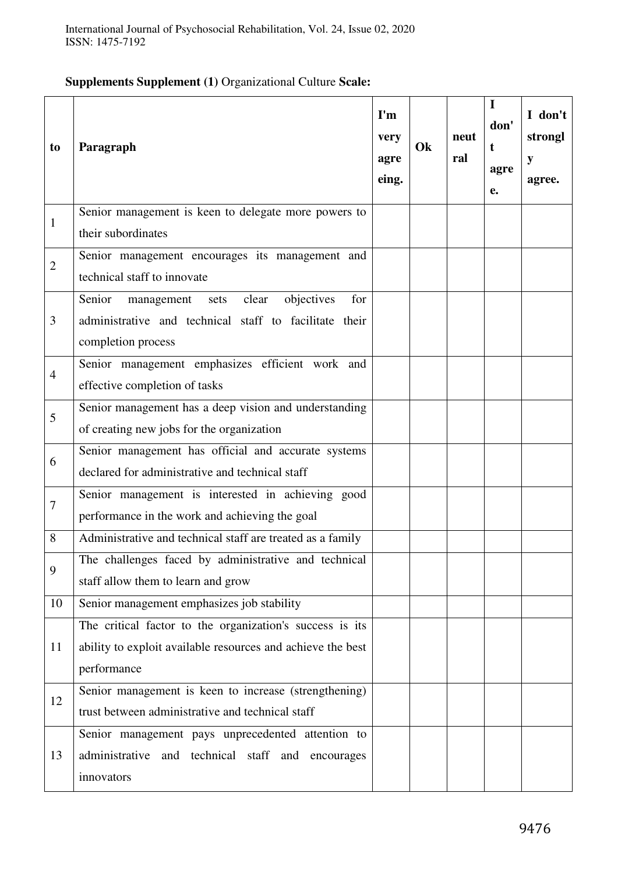# **Supplements Supplement (1)** Organizational Culture **Scale:**

| to             | Paragraph                                                                                                                               | $\mathbf{I}'\mathbf{m}$<br>very<br>agre<br>eing. | Ok | neut<br>ral | I<br>don'<br>t<br>agre<br>e. | I don't<br>strongl<br>y<br>agree. |
|----------------|-----------------------------------------------------------------------------------------------------------------------------------------|--------------------------------------------------|----|-------------|------------------------------|-----------------------------------|
| $\mathbf{1}$   | Senior management is keen to delegate more powers to<br>their subordinates                                                              |                                                  |    |             |                              |                                   |
| $\overline{2}$ | Senior management encourages its management and<br>technical staff to innovate                                                          |                                                  |    |             |                              |                                   |
| 3              | Senior<br>objectives<br>clear<br>for<br>management sets<br>administrative and technical staff to facilitate their<br>completion process |                                                  |    |             |                              |                                   |
| $\overline{4}$ | Senior management emphasizes efficient work and<br>effective completion of tasks                                                        |                                                  |    |             |                              |                                   |
| 5              | Senior management has a deep vision and understanding<br>of creating new jobs for the organization                                      |                                                  |    |             |                              |                                   |
| 6              | Senior management has official and accurate systems<br>declared for administrative and technical staff                                  |                                                  |    |             |                              |                                   |
| $\overline{7}$ | Senior management is interested in achieving good<br>performance in the work and achieving the goal                                     |                                                  |    |             |                              |                                   |
| 8              | Administrative and technical staff are treated as a family                                                                              |                                                  |    |             |                              |                                   |
| 9              | The challenges faced by administrative and technical<br>staff allow them to learn and grow                                              |                                                  |    |             |                              |                                   |
| 10             | Senior management emphasizes job stability                                                                                              |                                                  |    |             |                              |                                   |
| 11             | The critical factor to the organization's success is its<br>ability to exploit available resources and achieve the best<br>performance  |                                                  |    |             |                              |                                   |
| 12             | Senior management is keen to increase (strengthening)<br>trust between administrative and technical staff                               |                                                  |    |             |                              |                                   |
| 13             | Senior management pays unprecedented attention to<br>administrative and technical staff and encourages<br>innovators                    |                                                  |    |             |                              |                                   |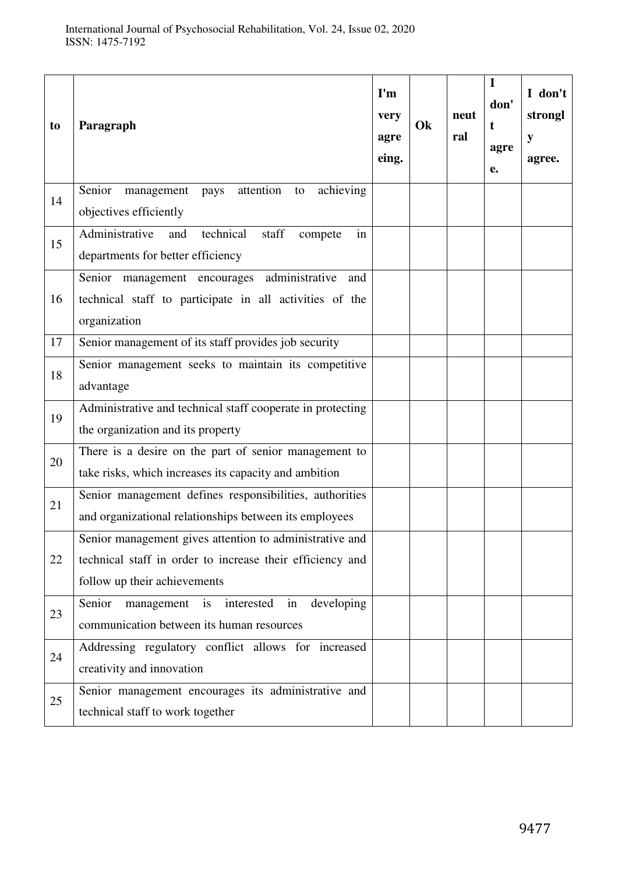| to | Paragraph                                                                                                                                            | $\mathbf{I}'\mathbf{m}$<br>very<br>agre<br>eing. | Ok | neut<br>ral | $\mathbf I$<br>don'<br>t<br>agre<br>e. | I don't<br>strongl<br>y<br>agree. |
|----|------------------------------------------------------------------------------------------------------------------------------------------------------|--------------------------------------------------|----|-------------|----------------------------------------|-----------------------------------|
| 14 | attention<br>achieving<br>Senior<br>management<br>pays<br>to<br>objectives efficiently                                                               |                                                  |    |             |                                        |                                   |
| 15 | Administrative<br>in<br>technical<br>staff<br>and<br>compete<br>departments for better efficiency                                                    |                                                  |    |             |                                        |                                   |
| 16 | Senior management encourages administrative<br>and<br>technical staff to participate in all activities of the<br>organization                        |                                                  |    |             |                                        |                                   |
| 17 | Senior management of its staff provides job security                                                                                                 |                                                  |    |             |                                        |                                   |
| 18 | Senior management seeks to maintain its competitive<br>advantage                                                                                     |                                                  |    |             |                                        |                                   |
| 19 | Administrative and technical staff cooperate in protecting<br>the organization and its property                                                      |                                                  |    |             |                                        |                                   |
| 20 | There is a desire on the part of senior management to<br>take risks, which increases its capacity and ambition                                       |                                                  |    |             |                                        |                                   |
| 21 | Senior management defines responsibilities, authorities<br>and organizational relationships between its employees                                    |                                                  |    |             |                                        |                                   |
| 22 | Senior management gives attention to administrative and<br>technical staff in order to increase their efficiency and<br>follow up their achievements |                                                  |    |             |                                        |                                   |
| 23 | Senior<br>developing<br>management is<br>interested<br>in<br>communication between its human resources                                               |                                                  |    |             |                                        |                                   |
| 24 | Addressing regulatory conflict allows for increased<br>creativity and innovation                                                                     |                                                  |    |             |                                        |                                   |
| 25 | Senior management encourages its administrative and<br>technical staff to work together                                                              |                                                  |    |             |                                        |                                   |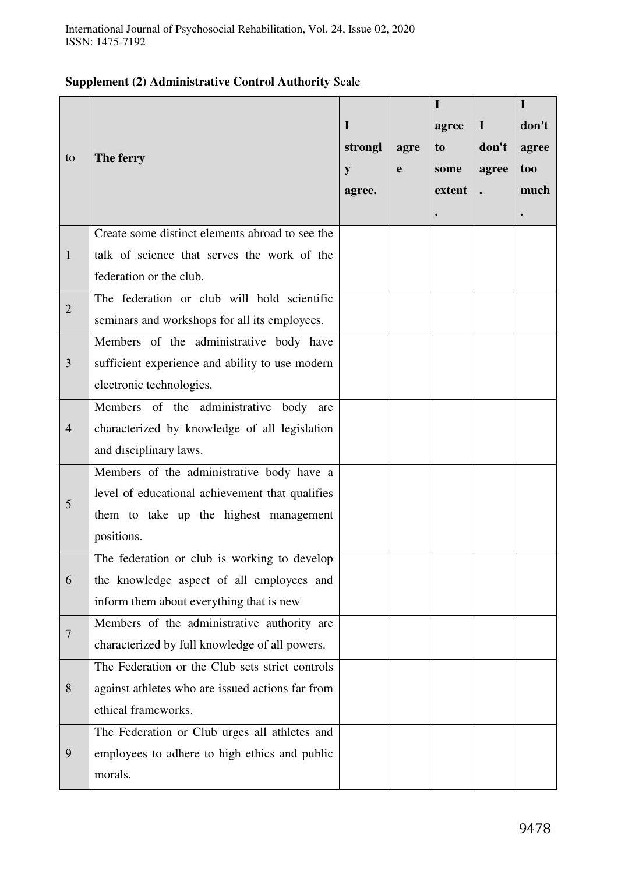# **Supplement (2) Administrative Control Authority** Scale

|                |                                                  |         |             | $\mathbf I$ |             | $\mathbf I$ |
|----------------|--------------------------------------------------|---------|-------------|-------------|-------------|-------------|
|                |                                                  | I       |             | agree       | $\mathbf I$ | don't       |
|                |                                                  | strongl | agre        | to          | don't       | agree       |
| to             | The ferry                                        | y       | $\mathbf e$ | some        | agree       | too         |
|                |                                                  | agree.  |             | extent      |             | much        |
|                |                                                  |         |             |             |             |             |
|                | Create some distinct elements abroad to see the  |         |             |             |             |             |
| $\mathbf{1}$   | talk of science that serves the work of the      |         |             |             |             |             |
|                | federation or the club.                          |         |             |             |             |             |
| $\overline{2}$ | The federation or club will hold scientific      |         |             |             |             |             |
|                | seminars and workshops for all its employees.    |         |             |             |             |             |
|                | Members of the administrative body have          |         |             |             |             |             |
| 3              | sufficient experience and ability to use modern  |         |             |             |             |             |
|                | electronic technologies.                         |         |             |             |             |             |
|                | Members of the administrative body<br>are        |         |             |             |             |             |
| $\overline{4}$ | characterized by knowledge of all legislation    |         |             |             |             |             |
|                | and disciplinary laws.                           |         |             |             |             |             |
|                | Members of the administrative body have a        |         |             |             |             |             |
| 5              | level of educational achievement that qualifies  |         |             |             |             |             |
|                | them to take up the highest management           |         |             |             |             |             |
|                | positions.                                       |         |             |             |             |             |
|                | The federation or club is working to develop     |         |             |             |             |             |
| 6              | the knowledge aspect of all employees and        |         |             |             |             |             |
|                | inform them about everything that is new         |         |             |             |             |             |
| $\overline{7}$ | Members of the administrative authority are      |         |             |             |             |             |
|                | characterized by full knowledge of all powers.   |         |             |             |             |             |
|                | The Federation or the Club sets strict controls  |         |             |             |             |             |
| 8              | against athletes who are issued actions far from |         |             |             |             |             |
|                | ethical frameworks.                              |         |             |             |             |             |
|                | The Federation or Club urges all athletes and    |         |             |             |             |             |
| 9              | employees to adhere to high ethics and public    |         |             |             |             |             |
|                | morals.                                          |         |             |             |             |             |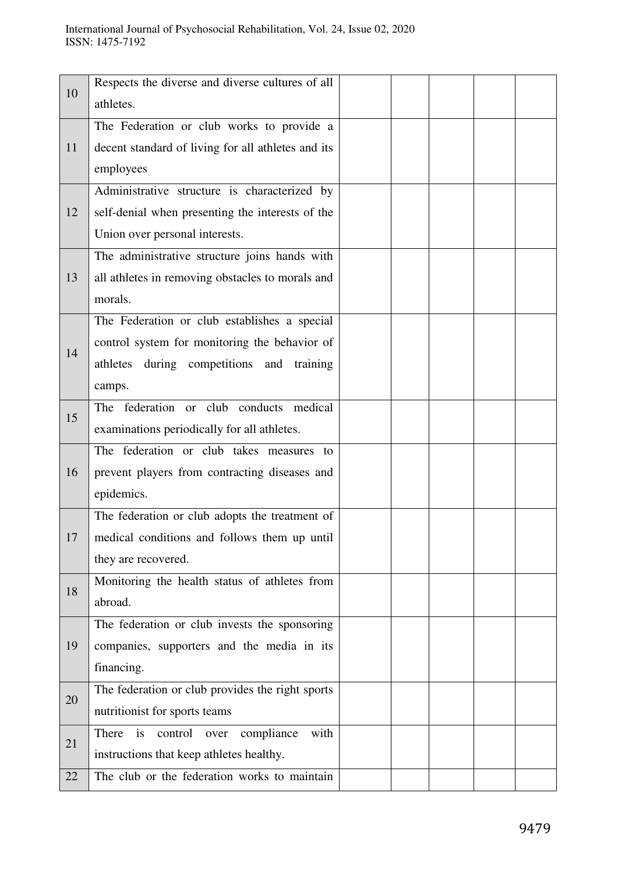|    | Respects the diverse and diverse cultures of all     |  |  |  |
|----|------------------------------------------------------|--|--|--|
| 10 | athletes.                                            |  |  |  |
|    | The Federation or club works to provide a            |  |  |  |
| 11 | decent standard of living for all athletes and its   |  |  |  |
|    | employees                                            |  |  |  |
|    | Administrative structure is characterized by         |  |  |  |
| 12 | self-denial when presenting the interests of the     |  |  |  |
|    | Union over personal interests.                       |  |  |  |
|    | The administrative structure joins hands with        |  |  |  |
| 13 | all athletes in removing obstacles to morals and     |  |  |  |
|    | morals.                                              |  |  |  |
|    | The Federation or club establishes a special         |  |  |  |
| 14 | control system for monitoring the behavior of        |  |  |  |
|    | athletes during competitions and training            |  |  |  |
|    | camps.                                               |  |  |  |
|    | The federation or club conducts medical              |  |  |  |
| 15 | examinations periodically for all athletes.          |  |  |  |
|    | The federation or club takes measures to             |  |  |  |
| 16 | prevent players from contracting diseases and        |  |  |  |
|    | epidemics.                                           |  |  |  |
|    | The federation or club adopts the treatment of       |  |  |  |
| 17 | medical conditions and follows them up until         |  |  |  |
|    | they are recovered.                                  |  |  |  |
| 18 | Monitoring the health status of athletes from        |  |  |  |
|    | abroad.                                              |  |  |  |
|    | The federation or club invests the sponsoring        |  |  |  |
| 19 | companies, supporters and the media in its           |  |  |  |
|    | financing.                                           |  |  |  |
| 20 | The federation or club provides the right sports     |  |  |  |
|    | nutritionist for sports teams                        |  |  |  |
| 21 | There<br>compliance<br>with<br>is<br>control<br>over |  |  |  |
|    | instructions that keep athletes healthy.             |  |  |  |
| 22 | The club or the federation works to maintain         |  |  |  |